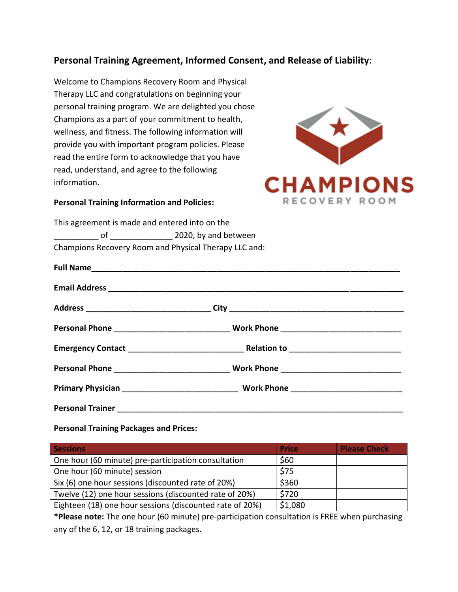## **Personal Training Agreement, Informed Consent, and Release of Liability**:

Welcome to Champions Recovery Room and Physical Therapy LLC and congratulations on beginning your personal training program. We are delighted you chose Champions as a part of your commitment to health, wellness, and fitness. The following information will provide you with important program policies. Please read the entire form to acknowledge that you have read, understand, and agree to the following information.



## **Personal Training Information and Policies:**

This agreement is made and entered into on the of and the set of  $2020$ , by and between Champions Recovery Room and Physical Therapy LLC and:

**Personal Training Packages and Prices:**

| <b>Sessions</b>                                          | <b>Price</b> | <b>Please Check</b> |
|----------------------------------------------------------|--------------|---------------------|
| One hour (60 minute) pre-participation consultation      | \$60         |                     |
| One hour (60 minute) session                             | \$75         |                     |
| Six (6) one hour sessions (discounted rate of 20%)       | \$360        |                     |
| Twelve (12) one hour sessions (discounted rate of 20%)   | \$720        |                     |
| Eighteen (18) one hour sessions (discounted rate of 20%) | \$1,080      |                     |

**\*Please note:** The one hour (60 minute) pre-participation consultation is FREE when purchasing any of the 6, 12, or 18 training packages**.**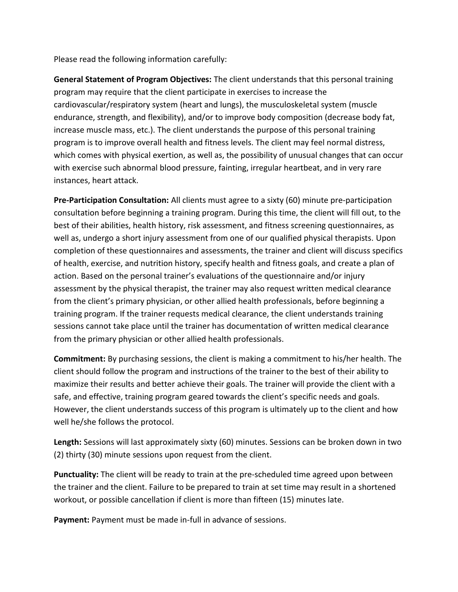Please read the following information carefully:

**General Statement of Program Objectives:** The client understands that this personal training program may require that the client participate in exercises to increase the cardiovascular/respiratory system (heart and lungs), the musculoskeletal system (muscle endurance, strength, and flexibility), and/or to improve body composition (decrease body fat, increase muscle mass, etc.). The client understands the purpose of this personal training program is to improve overall health and fitness levels. The client may feel normal distress, which comes with physical exertion, as well as, the possibility of unusual changes that can occur with exercise such abnormal blood pressure, fainting, irregular heartbeat, and in very rare instances, heart attack.

**Pre-Participation Consultation:** All clients must agree to a sixty (60) minute pre-participation consultation before beginning a training program. During this time, the client will fill out, to the best of their abilities, health history, risk assessment, and fitness screening questionnaires, as well as, undergo a short injury assessment from one of our qualified physical therapists. Upon completion of these questionnaires and assessments, the trainer and client will discuss specifics of health, exercise, and nutrition history, specify health and fitness goals, and create a plan of action. Based on the personal trainer's evaluations of the questionnaire and/or injury assessment by the physical therapist, the trainer may also request written medical clearance from the client's primary physician, or other allied health professionals, before beginning a training program. If the trainer requests medical clearance, the client understands training sessions cannot take place until the trainer has documentation of written medical clearance from the primary physician or other allied health professionals.

**Commitment:** By purchasing sessions, the client is making a commitment to his/her health. The client should follow the program and instructions of the trainer to the best of their ability to maximize their results and better achieve their goals. The trainer will provide the client with a safe, and effective, training program geared towards the client's specific needs and goals. However, the client understands success of this program is ultimately up to the client and how well he/she follows the protocol.

**Length:** Sessions will last approximately sixty (60) minutes. Sessions can be broken down in two (2) thirty (30) minute sessions upon request from the client.

**Punctuality:** The client will be ready to train at the pre-scheduled time agreed upon between the trainer and the client. Failure to be prepared to train at set time may result in a shortened workout, or possible cancellation if client is more than fifteen (15) minutes late.

**Payment:** Payment must be made in-full in advance of sessions.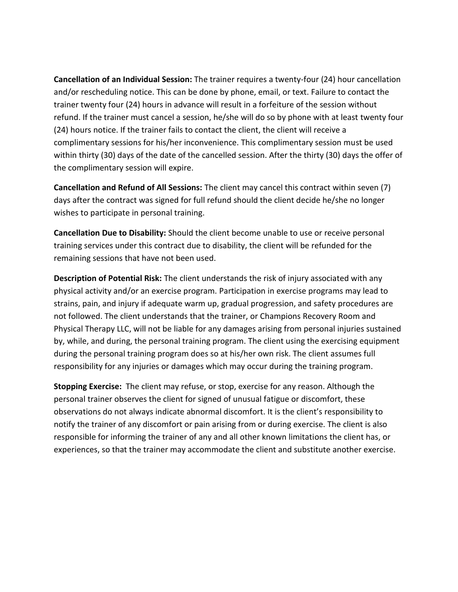**Cancellation of an Individual Session:** The trainer requires a twenty-four (24) hour cancellation and/or rescheduling notice. This can be done by phone, email, or text. Failure to contact the trainer twenty four (24) hours in advance will result in a forfeiture of the session without refund. If the trainer must cancel a session, he/she will do so by phone with at least twenty four (24) hours notice. If the trainer fails to contact the client, the client will receive a complimentary sessions for his/her inconvenience. This complimentary session must be used within thirty (30) days of the date of the cancelled session. After the thirty (30) days the offer of the complimentary session will expire.

**Cancellation and Refund of All Sessions:** The client may cancel this contract within seven (7) days after the contract was signed for full refund should the client decide he/she no longer wishes to participate in personal training.

**Cancellation Due to Disability:** Should the client become unable to use or receive personal training services under this contract due to disability, the client will be refunded for the remaining sessions that have not been used.

**Description of Potential Risk:** The client understands the risk of injury associated with any physical activity and/or an exercise program. Participation in exercise programs may lead to strains, pain, and injury if adequate warm up, gradual progression, and safety procedures are not followed. The client understands that the trainer, or Champions Recovery Room and Physical Therapy LLC, will not be liable for any damages arising from personal injuries sustained by, while, and during, the personal training program. The client using the exercising equipment during the personal training program does so at his/her own risk. The client assumes full responsibility for any injuries or damages which may occur during the training program.

**Stopping Exercise:** The client may refuse, or stop, exercise for any reason. Although the personal trainer observes the client for signed of unusual fatigue or discomfort, these observations do not always indicate abnormal discomfort. It is the client's responsibility to notify the trainer of any discomfort or pain arising from or during exercise. The client is also responsible for informing the trainer of any and all other known limitations the client has, or experiences, so that the trainer may accommodate the client and substitute another exercise.